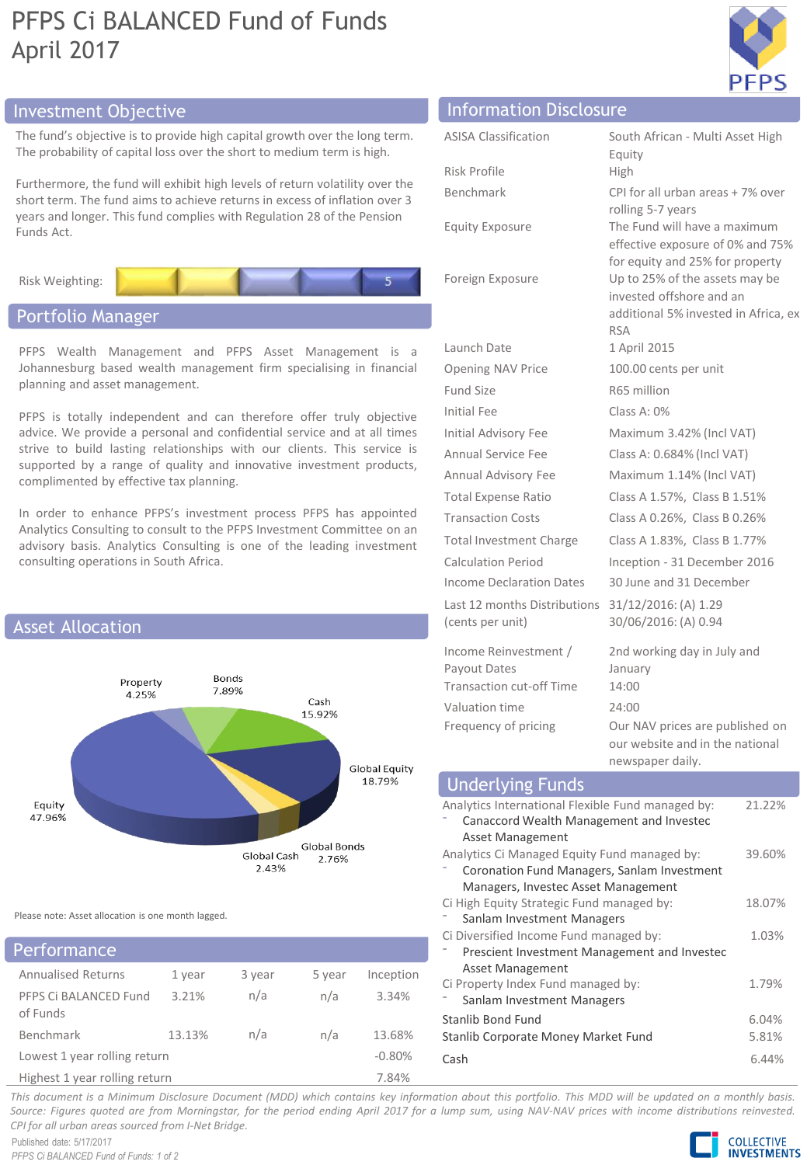# PFPS Ci BALANCED Fund of Funds April 2017



# Investment Objective Information Disclosure

The fund's objective is to provide high capital growth over the long term. The probability of capital loss over the short to medium term is high.

Furthermore, the fund will exhibit high levels of return volatility over the short term. The fund aims to achieve returns in excess of inflation over 3 years and longer. This fund complies with Regulation 28 of the Pension Funds Act.



# Portfolio Manager

PFPS Wealth Management and PFPS Asset Management is a Johannesburg based wealth management firm specialising in financial planning and asset management.

PFPS is totally independent and can therefore offer truly objective advice. We provide a personal and confidential service and at all times strive to build lasting relationships with our clients. This service is supported by a range of quality and innovative investment products, complimented by effective tax planning.

In order to enhance PFPS's investment process PFPS has appointed Analytics Consulting to consult to the PFPS Investment Committee on an advisory basis. Analytics Consulting is one of the leading investment consulting operations in South Africa.



Please note: Asset allocation is one month lagged.

# Annualised Returns 1 year 3 year 5 year Inception PFPS Ci BALANCED Fund of Funds 3.21% n/a n/a 3.34% Benchmark 13.13% n/a n/a 13.68% Lowest 1 year rolling return  $-0.80\%$ Highest 1 year rolling return 7.84% Performance

| <b>ASISA Classification</b>                                       | South African - Multi Asset High                                                                                         |
|-------------------------------------------------------------------|--------------------------------------------------------------------------------------------------------------------------|
|                                                                   | Equity                                                                                                                   |
| Risk Profile                                                      | High                                                                                                                     |
| Benchmark                                                         | CPI for all urban areas + 7% over                                                                                        |
| <b>Equity Exposure</b>                                            | rolling 5-7 years<br>The Fund will have a maximum<br>effective exposure of 0% and 75%<br>for equity and 25% for property |
| Foreign Exposure                                                  | Up to 25% of the assets may be<br>invested offshore and an<br>additional 5% invested in Africa, ex<br><b>RSA</b>         |
| Launch Date                                                       | 1 April 2015                                                                                                             |
| <b>Opening NAV Price</b>                                          | 100.00 cents per unit                                                                                                    |
| <b>Fund Size</b>                                                  | R65 million                                                                                                              |
| Initial Fee                                                       | Class A: $0\%$                                                                                                           |
| <b>Initial Advisory Fee</b>                                       | Maximum 3.42% (Incl VAT)                                                                                                 |
| <b>Annual Service Fee</b>                                         | Class A: 0.684% (Incl VAT)                                                                                               |
| Annual Advisory Fee                                               | Maximum 1.14% (Incl VAT)                                                                                                 |
| <b>Total Expense Ratio</b>                                        | Class A 1.57%, Class B 1.51%                                                                                             |
| <b>Transaction Costs</b>                                          | Class A 0.26%, Class B 0.26%                                                                                             |
| Total Investment Charge                                           | Class A 1.83%, Class B 1.77%                                                                                             |
| <b>Calculation Period</b>                                         | Inception - 31 December 2016                                                                                             |
| <b>Income Declaration Dates</b>                                   | 30 June and 31 December                                                                                                  |
| Last 12 months Distributions<br>(cents per unit)                  | 31/12/2016: (A) 1.29<br>30/06/2016: (A) 0.94                                                                             |
| Income Reinvestment /<br>Payout Dates<br>Transaction cut-off Time | 2nd working day in July and<br>January<br>14:00                                                                          |
| Valuation time                                                    | 24:00                                                                                                                    |
| Frequency of pricing                                              | Our NAV prices are published on<br>our website and in the national<br>newspaper daily.                                   |

#### Analytics International Flexible Fund managed by: ⁻ Canaccord Wealth Management and Investec Asset Management 21.22% Analytics Ci Managed Equity Fund managed by: ⁻ Coronation Fund Managers, Sanlam Investment Managers, Investec Asset Management 39.60% Ci High Equity Strategic Fund managed by: Sanlam Investment Managers 18.07% Ci Diversified Income Fund managed by: ⁻ Prescient Investment Management and Investec Asset Management 1.03% Ci Property Index Fund managed by: Sanlam Investment Managers 1.79% Stanlib Bond Fund 6.04% Stanlib Corporate Money Market Fund 5.81% Cash 6.44% Underlying Funds

This document is a Minimum Disclosure Document (MDD) which contains key information about this portfolio. This MDD will be updated on a monthly basis. Source: Figures quoted are from Morningstar, for the period ending April 2017 for a lump sum, using NAV-NAV prices with income distributions reinvested. *CPI for all urban areas sourced from I-Net Bridge.*

Published date: 5/17/2017 *PFPS Ci BALANCED Fund of Funds: 1 of 2*